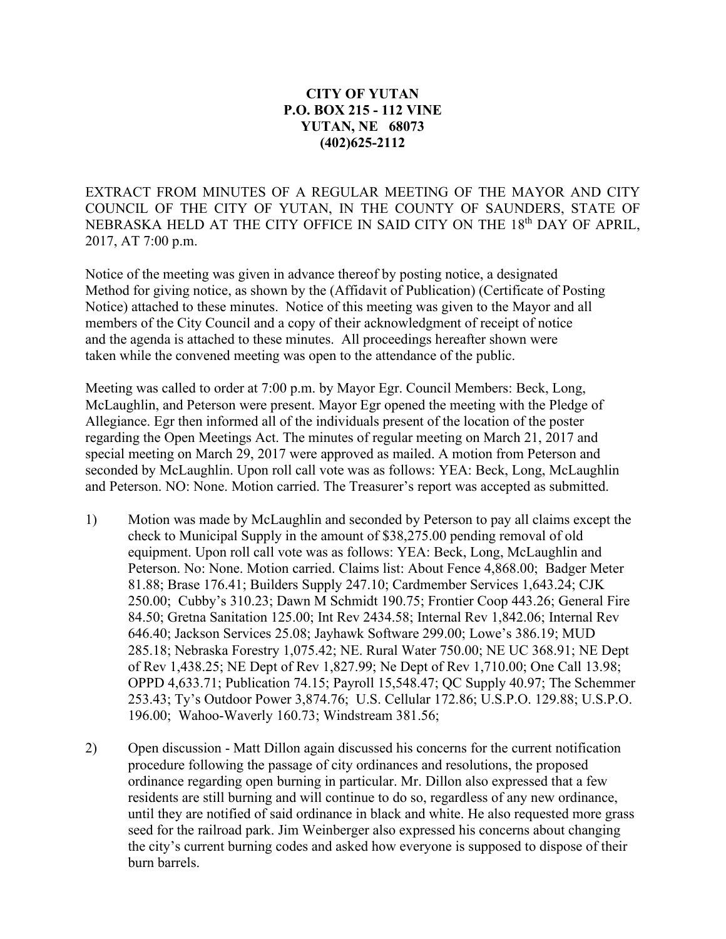## **CITY OF YUTAN P.O. BOX 215 - 112 VINE YUTAN, NE 68073 (402)625-2112**

EXTRACT FROM MINUTES OF A REGULAR MEETING OF THE MAYOR AND CITY COUNCIL OF THE CITY OF YUTAN, IN THE COUNTY OF SAUNDERS, STATE OF NEBRASKA HELD AT THE CITY OFFICE IN SAID CITY ON THE 18<sup>th</sup> DAY OF APRIL, 2017, AT 7:00 p.m.

Notice of the meeting was given in advance thereof by posting notice, a designated Method for giving notice, as shown by the (Affidavit of Publication) (Certificate of Posting Notice) attached to these minutes. Notice of this meeting was given to the Mayor and all members of the City Council and a copy of their acknowledgment of receipt of notice and the agenda is attached to these minutes. All proceedings hereafter shown were taken while the convened meeting was open to the attendance of the public.

Meeting was called to order at 7:00 p.m. by Mayor Egr. Council Members: Beck, Long, McLaughlin, and Peterson were present. Mayor Egr opened the meeting with the Pledge of Allegiance. Egr then informed all of the individuals present of the location of the poster regarding the Open Meetings Act. The minutes of regular meeting on March 21, 2017 and special meeting on March 29, 2017 were approved as mailed. A motion from Peterson and seconded by McLaughlin. Upon roll call vote was as follows: YEA: Beck, Long, McLaughlin and Peterson. NO: None. Motion carried. The Treasurer's report was accepted as submitted.

- 1) Motion was made by McLaughlin and seconded by Peterson to pay all claims except the check to Municipal Supply in the amount of \$38,275.00 pending removal of old equipment. Upon roll call vote was as follows: YEA: Beck, Long, McLaughlin and Peterson. No: None. Motion carried. Claims list: About Fence 4,868.00; Badger Meter 81.88; Brase 176.41; Builders Supply 247.10; Cardmember Services 1,643.24; CJK 250.00; Cubby's 310.23; Dawn M Schmidt 190.75; Frontier Coop 443.26; General Fire 84.50; Gretna Sanitation 125.00; Int Rev 2434.58; Internal Rev 1,842.06; Internal Rev 646.40; Jackson Services 25.08; Jayhawk Software 299.00; Lowe's 386.19; MUD 285.18; Nebraska Forestry 1,075.42; NE. Rural Water 750.00; NE UC 368.91; NE Dept of Rev 1,438.25; NE Dept of Rev 1,827.99; Ne Dept of Rev 1,710.00; One Call 13.98; OPPD 4,633.71; Publication 74.15; Payroll 15,548.47; QC Supply 40.97; The Schemmer 253.43; Ty's Outdoor Power 3,874.76; U.S. Cellular 172.86; U.S.P.O. 129.88; U.S.P.O. 196.00; Wahoo-Waverly 160.73; Windstream 381.56;
- 2) Open discussion Matt Dillon again discussed his concerns for the current notification procedure following the passage of city ordinances and resolutions, the proposed ordinance regarding open burning in particular. Mr. Dillon also expressed that a few residents are still burning and will continue to do so, regardless of any new ordinance, until they are notified of said ordinance in black and white. He also requested more grass seed for the railroad park. Jim Weinberger also expressed his concerns about changing the city's current burning codes and asked how everyone is supposed to dispose of their burn barrels.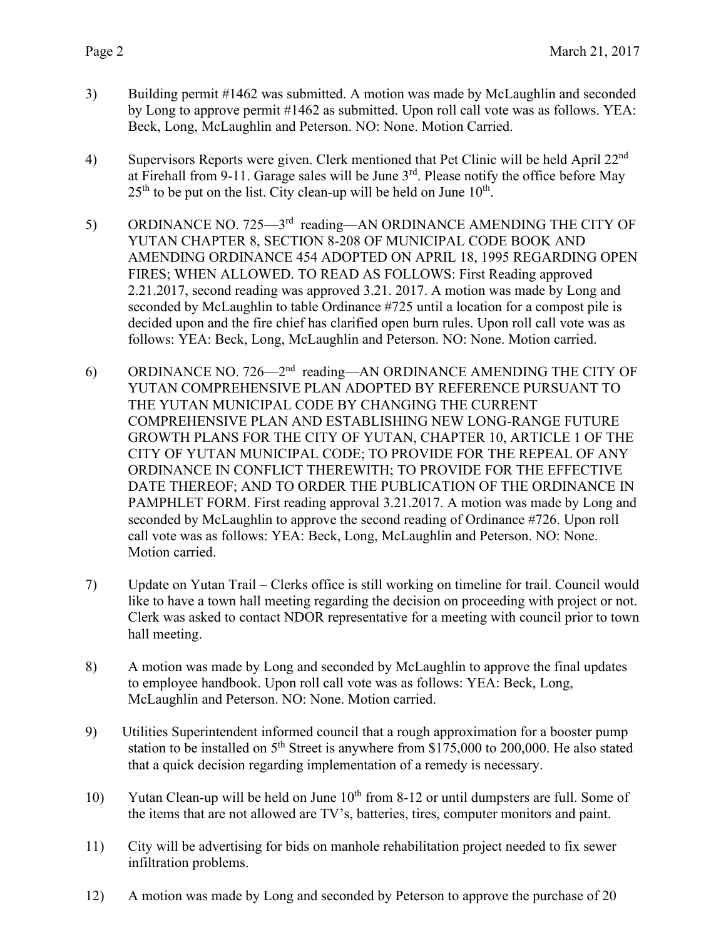- 3) Building permit #1462 was submitted. A motion was made by McLaughlin and seconded by Long to approve permit #1462 as submitted. Upon roll call vote was as follows. YEA: Beck, Long, McLaughlin and Peterson. NO: None. Motion Carried.
- 4) Supervisors Reports were given. Clerk mentioned that Pet Clinic will be held April 22<sup>nd</sup> at Firehall from 9-11. Garage sales will be June 3rd. Please notify the office before May  $25<sup>th</sup>$  to be put on the list. City clean-up will be held on June  $10<sup>th</sup>$ .
- 5) ORDINANCE NO. 725—3<sup>rd</sup> reading—AN ORDINANCE AMENDING THE CITY OF YUTAN CHAPTER 8, SECTION 8-208 OF MUNICIPAL CODE BOOK AND AMENDING ORDINANCE 454 ADOPTED ON APRIL 18, 1995 REGARDING OPEN FIRES; WHEN ALLOWED. TO READ AS FOLLOWS: First Reading approved 2.21.2017, second reading was approved 3.21. 2017. A motion was made by Long and seconded by McLaughlin to table Ordinance #725 until a location for a compost pile is decided upon and the fire chief has clarified open burn rules. Upon roll call vote was as follows: YEA: Beck, Long, McLaughlin and Peterson. NO: None. Motion carried.
- 6) ORDINANCE NO. 726—2nd reading—AN ORDINANCE AMENDING THE CITY OF YUTAN COMPREHENSIVE PLAN ADOPTED BY REFERENCE PURSUANT TO THE YUTAN MUNICIPAL CODE BY CHANGING THE CURRENT COMPREHENSIVE PLAN AND ESTABLISHING NEW LONG-RANGE FUTURE GROWTH PLANS FOR THE CITY OF YUTAN, CHAPTER 10, ARTICLE 1 OF THE CITY OF YUTAN MUNICIPAL CODE; TO PROVIDE FOR THE REPEAL OF ANY ORDINANCE IN CONFLICT THEREWITH; TO PROVIDE FOR THE EFFECTIVE DATE THEREOF; AND TO ORDER THE PUBLICATION OF THE ORDINANCE IN PAMPHLET FORM. First reading approval 3.21.2017. A motion was made by Long and seconded by McLaughlin to approve the second reading of Ordinance #726. Upon roll call vote was as follows: YEA: Beck, Long, McLaughlin and Peterson. NO: None. Motion carried.
- 7) Update on Yutan Trail Clerks office is still working on timeline for trail. Council would like to have a town hall meeting regarding the decision on proceeding with project or not. Clerk was asked to contact NDOR representative for a meeting with council prior to town hall meeting.
- 8) A motion was made by Long and seconded by McLaughlin to approve the final updates to employee handbook. Upon roll call vote was as follows: YEA: Beck, Long, McLaughlin and Peterson. NO: None. Motion carried.
- 9) Utilities Superintendent informed council that a rough approximation for a booster pump station to be installed on  $5<sup>th</sup>$  Street is anywhere from \$175,000 to 200,000. He also stated that a quick decision regarding implementation of a remedy is necessary.
- 10) Yutan Clean-up will be held on June  $10^{th}$  from 8-12 or until dumpsters are full. Some of the items that are not allowed are TV's, batteries, tires, computer monitors and paint.
- 11) City will be advertising for bids on manhole rehabilitation project needed to fix sewer infiltration problems.
- 12) A motion was made by Long and seconded by Peterson to approve the purchase of 20